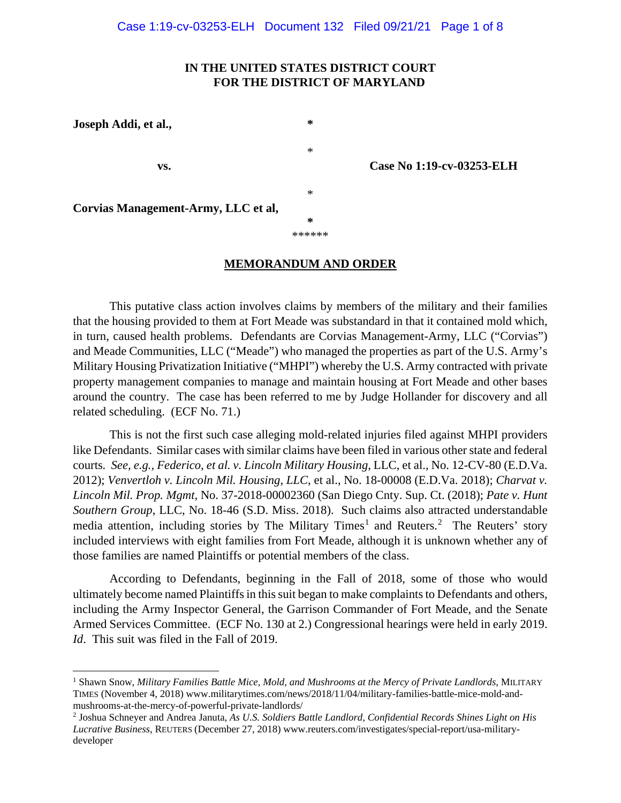# **IN THE UNITED STATES DISTRICT COURT FOR THE DISTRICT OF MARYLAND**

\*

\*

**\*** \*\*\*\*\*\*

**Joseph Addi, et al., \***

**vs. Case No 1:19-cv-03253-ELH**

**Corvias Management-Army, LLC et al,**

### **MEMORANDUM AND ORDER**

This putative class action involves claims by members of the military and their families that the housing provided to them at Fort Meade was substandard in that it contained mold which, in turn, caused health problems. Defendants are Corvias Management-Army, LLC ("Corvias") and Meade Communities, LLC ("Meade") who managed the properties as part of the U.S. Army's Military Housing Privatization Initiative ("MHPI") whereby the U.S. Army contracted with private property management companies to manage and maintain housing at Fort Meade and other bases around the country. The case has been referred to me by Judge Hollander for discovery and all related scheduling. (ECF No. 71.)

This is not the first such case alleging mold-related injuries filed against MHPI providers like Defendants. Similar cases with similar claims have been filed in various other state and federal courts*. See, e.g., Federico, et al. v. Lincoln Military Housing*, LLC, et al., No. 12-CV-80 (E.D.Va. 2012); *Venvertloh v. Lincoln Mil. Housing, LLC*, et al., No. 18-00008 (E.D.Va. 2018); *Charvat v. Lincoln Mil. Prop. Mgmt*, No. 37-2018-00002360 (San Diego Cnty. Sup. Ct. (2018); *Pate v. Hunt Southern Group*, LLC, No. 18-46 (S.D. Miss. 2018). Such claims also attracted understandable media attention, including stories by The Military Times<sup>[1](#page-0-0)</sup> and Reuters.<sup>[2](#page-0-1)</sup> The Reuters' story included interviews with eight families from Fort Meade, although it is unknown whether any of those families are named Plaintiffs or potential members of the class.

According to Defendants, beginning in the Fall of 2018, some of those who would ultimately become named Plaintiffs in this suit began to make complaints to Defendants and others, including the Army Inspector General, the Garrison Commander of Fort Meade, and the Senate Armed Services Committee. (ECF No. 130 at 2.) Congressional hearings were held in early 2019. *Id*. This suit was filed in the Fall of 2019.

<span id="page-0-0"></span><sup>1</sup> Shawn Snow, *Military Families Battle Mice, Mold, and Mushrooms at the Mercy of Private Landlords*, MILITARY TIMES (November 4, 2018) www.militarytimes.com/news/2018/11/04/military-families-battle-mice-mold-andmushrooms-at-the-mercy-of-powerful-private-landlords/

<span id="page-0-1"></span><sup>2</sup> Joshua Schneyer and Andrea Januta, *As U.S. Soldiers Battle Landlord, Confidential Records Shines Light on His Lucrative Business*, REUTERS (December 27, 2018) www.reuters.com/investigates/special-report/usa-militarydeveloper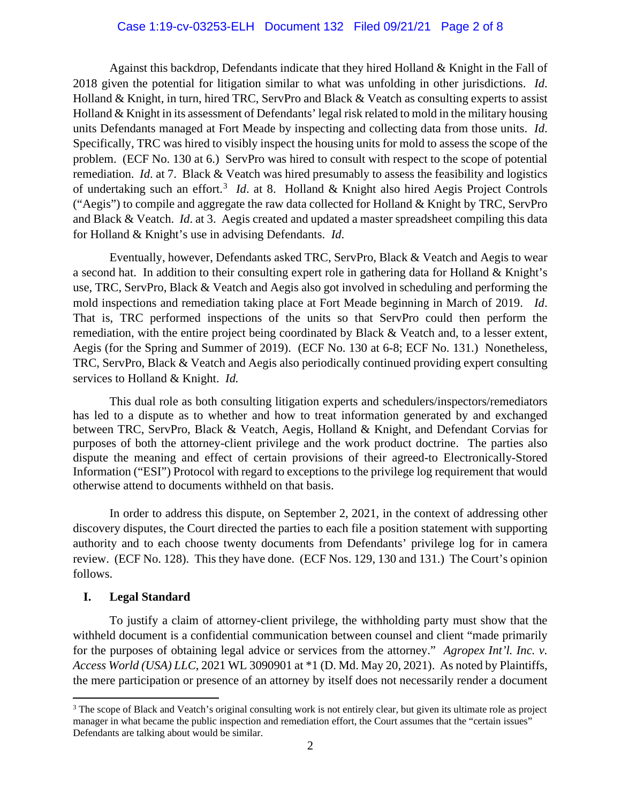# Case 1:19-cv-03253-ELH Document 132 Filed 09/21/21 Page 2 of 8

Against this backdrop, Defendants indicate that they hired Holland & Knight in the Fall of 2018 given the potential for litigation similar to what was unfolding in other jurisdictions. *Id*. Holland & Knight, in turn, hired TRC, ServPro and Black & Veatch as consulting experts to assist Holland & Knight in its assessment of Defendants' legal risk related to mold in the military housing units Defendants managed at Fort Meade by inspecting and collecting data from those units. *Id*. Specifically, TRC was hired to visibly inspect the housing units for mold to assess the scope of the problem. (ECF No. 130 at 6.) ServPro was hired to consult with respect to the scope of potential remediation. *Id*. at 7. Black & Veatch was hired presumably to assess the feasibility and logistics of undertaking such an effort.<sup>[3](#page-1-0)</sup> *Id.* at 8. Holland & Knight also hired Aegis Project Controls ("Aegis") to compile and aggregate the raw data collected for Holland & Knight by TRC, ServPro and Black & Veatch. *Id*. at 3. Aegis created and updated a master spreadsheet compiling this data for Holland & Knight's use in advising Defendants. *Id*.

Eventually, however, Defendants asked TRC, ServPro, Black & Veatch and Aegis to wear a second hat. In addition to their consulting expert role in gathering data for Holland & Knight's use, TRC, ServPro, Black & Veatch and Aegis also got involved in scheduling and performing the mold inspections and remediation taking place at Fort Meade beginning in March of 2019. *Id*. That is, TRC performed inspections of the units so that ServPro could then perform the remediation, with the entire project being coordinated by Black & Veatch and, to a lesser extent, Aegis (for the Spring and Summer of 2019). (ECF No. 130 at 6-8; ECF No. 131.) Nonetheless, TRC, ServPro, Black & Veatch and Aegis also periodically continued providing expert consulting services to Holland & Knight. *Id.*

This dual role as both consulting litigation experts and schedulers/inspectors/remediators has led to a dispute as to whether and how to treat information generated by and exchanged between TRC, ServPro, Black & Veatch, Aegis, Holland & Knight, and Defendant Corvias for purposes of both the attorney-client privilege and the work product doctrine. The parties also dispute the meaning and effect of certain provisions of their agreed-to Electronically-Stored Information ("ESI") Protocol with regard to exceptions to the privilege log requirement that would otherwise attend to documents withheld on that basis.

In order to address this dispute, on September 2, 2021, in the context of addressing other discovery disputes, the Court directed the parties to each file a position statement with supporting authority and to each choose twenty documents from Defendants' privilege log for in camera review. (ECF No. 128). This they have done. (ECF Nos. 129, 130 and 131.) The Court's opinion follows.

# **I. Legal Standard**

To justify a claim of attorney-client privilege, the withholding party must show that the withheld document is a confidential communication between counsel and client "made primarily for the purposes of obtaining legal advice or services from the attorney." *Agropex Int'l. Inc. v. Access World (USA) LLC*, 2021 WL 3090901 at \*1 (D. Md. May 20, 2021). As noted by Plaintiffs, the mere participation or presence of an attorney by itself does not necessarily render a document

<span id="page-1-0"></span><sup>&</sup>lt;sup>3</sup> The scope of Black and Veatch's original consulting work is not entirely clear, but given its ultimate role as project manager in what became the public inspection and remediation effort, the Court assumes that the "certain issues" Defendants are talking about would be similar.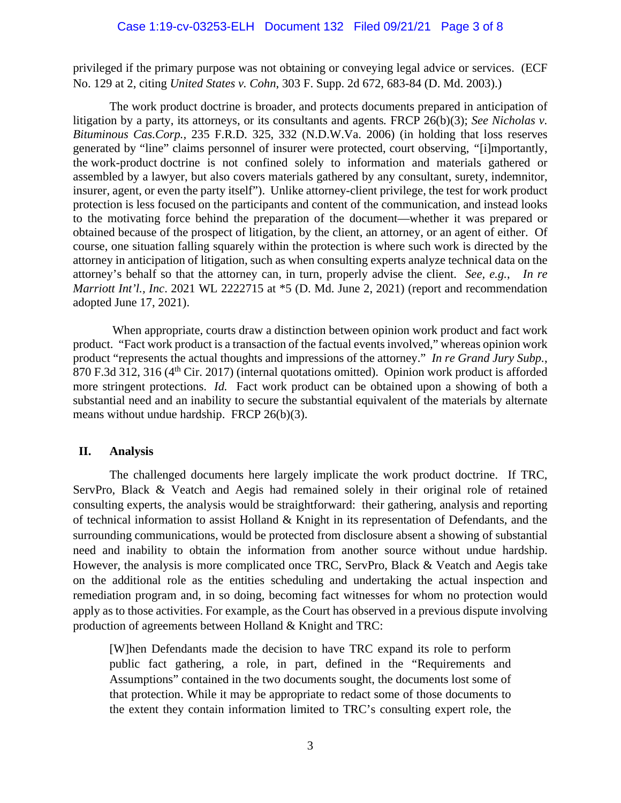### Case 1:19-cv-03253-ELH Document 132 Filed 09/21/21 Page 3 of 8

privileged if the primary purpose was not obtaining or conveying legal advice or services. (ECF No. 129 at 2, citing *United States v. Cohn*, 303 F. Supp. 2d 672, 683-84 (D. Md. 2003).)

The work product doctrine is broader, and protects documents prepared in anticipation of litigation by a party, its attorneys, or its consultants and agents. FRCP 26(b)(3); *See Nicholas v. Bituminous Cas.Corp.,* 235 F.R.D. 325, 332 (N.D.W.Va. 2006) (in holding that loss reserves generated by "line" claims personnel of insurer were protected, court observing, *"*[i]mportantly, the work-product doctrine is not confined solely to information and materials gathered or assembled by a lawyer, but also covers materials gathered by any consultant, surety, indemnitor, insurer, agent, or even the party itself"). Unlike attorney-client privilege, the test for work product protection is less focused on the participants and content of the communication, and instead looks to the motivating force behind the preparation of the document—whether it was prepared or obtained because of the prospect of litigation, by the client, an attorney, or an agent of either. Of course, one situation falling squarely within the protection is where such work is directed by the attorney in anticipation of litigation, such as when consulting experts analyze technical data on the attorney's behalf so that the attorney can, in turn, properly advise the client. *See, e.g.*, *In re Marriott Int'l., Inc*. 2021 WL 2222715 at \*5 (D. Md. June 2, 2021) (report and recommendation adopted June 17, 2021).

When appropriate, courts draw a distinction between opinion work product and fact work product. "Fact work product is a transaction of the factual events involved," whereas opinion work product "represents the actual thoughts and impressions of the attorney." *In re Grand Jury Subp.*, 870 F.3d 312, 316 (4<sup>th</sup> Cir. 2017) (internal quotations omitted). Opinion work product is afforded more stringent protections. *Id.* Fact work product can be obtained upon a showing of both a substantial need and an inability to secure the substantial equivalent of the materials by alternate means without undue hardship. FRCP 26(b)(3).

### **II. Analysis**

The challenged documents here largely implicate the work product doctrine. If TRC, ServPro, Black & Veatch and Aegis had remained solely in their original role of retained consulting experts, the analysis would be straightforward: their gathering, analysis and reporting of technical information to assist Holland & Knight in its representation of Defendants, and the surrounding communications, would be protected from disclosure absent a showing of substantial need and inability to obtain the information from another source without undue hardship. However, the analysis is more complicated once TRC, ServPro, Black & Veatch and Aegis take on the additional role as the entities scheduling and undertaking the actual inspection and remediation program and, in so doing, becoming fact witnesses for whom no protection would apply as to those activities. For example, as the Court has observed in a previous dispute involving production of agreements between Holland & Knight and TRC:

[W]hen Defendants made the decision to have TRC expand its role to perform public fact gathering, a role, in part, defined in the "Requirements and Assumptions" contained in the two documents sought, the documents lost some of that protection. While it may be appropriate to redact some of those documents to the extent they contain information limited to TRC's consulting expert role, the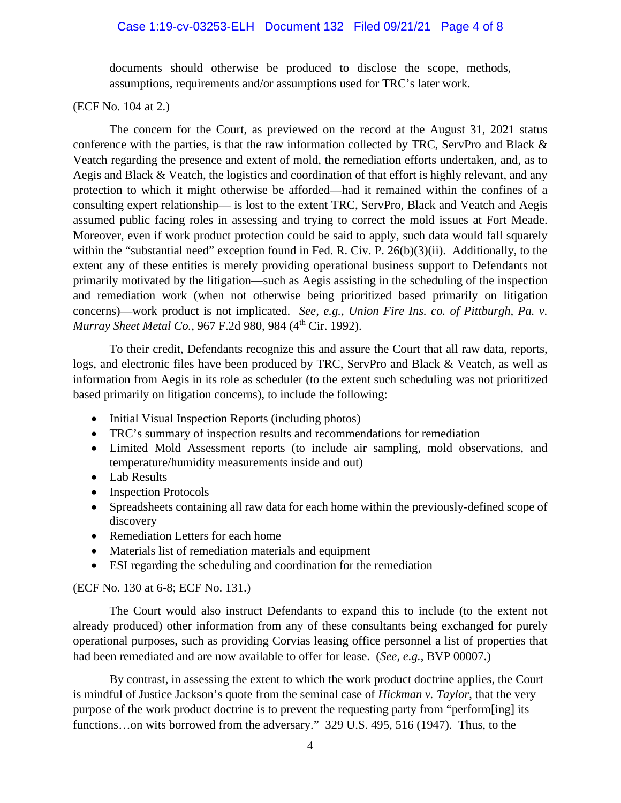# Case 1:19-cv-03253-ELH Document 132 Filed 09/21/21 Page 4 of 8

documents should otherwise be produced to disclose the scope, methods, assumptions, requirements and/or assumptions used for TRC's later work.

(ECF No. 104 at 2.)

The concern for the Court, as previewed on the record at the August 31, 2021 status conference with the parties, is that the raw information collected by TRC, ServPro and Black & Veatch regarding the presence and extent of mold, the remediation efforts undertaken, and, as to Aegis and Black & Veatch, the logistics and coordination of that effort is highly relevant, and any protection to which it might otherwise be afforded—had it remained within the confines of a consulting expert relationship— is lost to the extent TRC, ServPro, Black and Veatch and Aegis assumed public facing roles in assessing and trying to correct the mold issues at Fort Meade. Moreover, even if work product protection could be said to apply, such data would fall squarely within the "substantial need" exception found in Fed. R. Civ. P. 26(b)(3)(ii). Additionally, to the extent any of these entities is merely providing operational business support to Defendants not primarily motivated by the litigation—such as Aegis assisting in the scheduling of the inspection and remediation work (when not otherwise being prioritized based primarily on litigation concerns)—work product is not implicated. *See, e.g., Union Fire Ins. co. of Pittburgh, Pa. v. Murray Sheet Metal Co., 967 F.2d 980, 984 (4<sup>th</sup> Cir. 1992).* 

To their credit, Defendants recognize this and assure the Court that all raw data, reports, logs, and electronic files have been produced by TRC, ServPro and Black & Veatch, as well as information from Aegis in its role as scheduler (to the extent such scheduling was not prioritized based primarily on litigation concerns), to include the following:

- Initial Visual Inspection Reports (including photos)
- TRC's summary of inspection results and recommendations for remediation
- Limited Mold Assessment reports (to include air sampling, mold observations, and temperature/humidity measurements inside and out)
- Lab Results
- Inspection Protocols
- Spreadsheets containing all raw data for each home within the previously-defined scope of discovery
- Remediation Letters for each home
- Materials list of remediation materials and equipment
- ESI regarding the scheduling and coordination for the remediation

# (ECF No. 130 at 6-8; ECF No. 131.)

The Court would also instruct Defendants to expand this to include (to the extent not already produced) other information from any of these consultants being exchanged for purely operational purposes, such as providing Corvias leasing office personnel a list of properties that had been remediated and are now available to offer for lease. (*See, e.g.*, BVP 00007.)

By contrast, in assessing the extent to which the work product doctrine applies, the Court is mindful of Justice Jackson's quote from the seminal case of *Hickman v. Taylor*, that the very purpose of the work product doctrine is to prevent the requesting party from "perform[ing] its functions...on wits borrowed from the adversary." 329 U.S. 495, 516 (1947). Thus, to the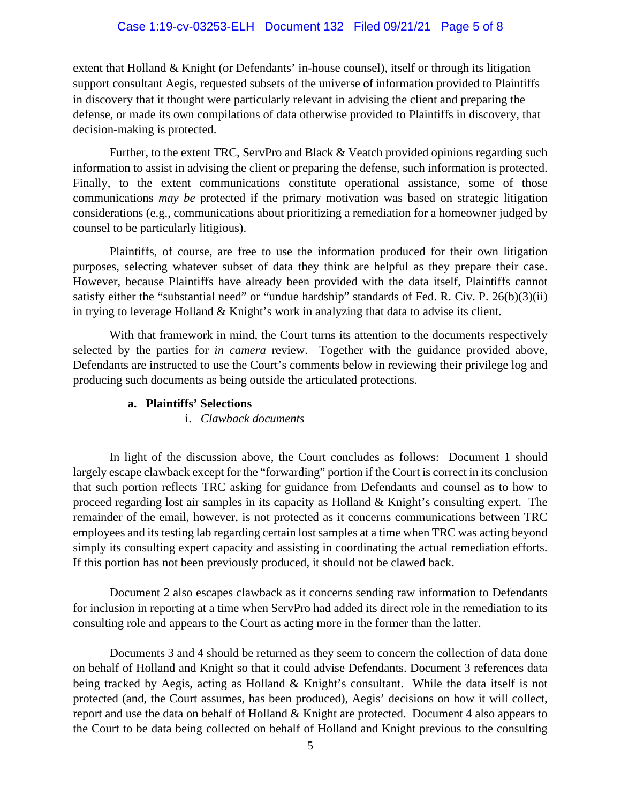# Case 1:19-cv-03253-ELH Document 132 Filed 09/21/21 Page 5 of 8

extent that Holland & Knight (or Defendants' in-house counsel), itself or through its litigation support consultant Aegis, requested subsets of the universe of information provided to Plaintiffs in discovery that it thought were particularly relevant in advising the client and preparing the defense, or made its own compilations of data otherwise provided to Plaintiffs in discovery, that decision-making is protected.

Further, to the extent TRC, ServPro and Black & Veatch provided opinions regarding such information to assist in advising the client or preparing the defense, such information is protected. Finally, to the extent communications constitute operational assistance, some of those communications *may be* protected if the primary motivation was based on strategic litigation considerations (e.g., communications about prioritizing a remediation for a homeowner judged by counsel to be particularly litigious).

Plaintiffs, of course, are free to use the information produced for their own litigation purposes, selecting whatever subset of data they think are helpful as they prepare their case. However, because Plaintiffs have already been provided with the data itself, Plaintiffs cannot satisfy either the "substantial need" or "undue hardship" standards of Fed. R. Civ. P. 26(b)(3)(ii) in trying to leverage Holland & Knight's work in analyzing that data to advise its client.

With that framework in mind, the Court turns its attention to the documents respectively selected by the parties for *in camera* review. Together with the guidance provided above, Defendants are instructed to use the Court's comments below in reviewing their privilege log and producing such documents as being outside the articulated protections.

# **a. Plaintiffs' Selections**

# i. *Clawback documents*

In light of the discussion above, the Court concludes as follows: Document 1 should largely escape clawback except for the "forwarding" portion if the Court is correct in its conclusion that such portion reflects TRC asking for guidance from Defendants and counsel as to how to proceed regarding lost air samples in its capacity as Holland & Knight's consulting expert. The remainder of the email, however, is not protected as it concerns communications between TRC employees and its testing lab regarding certain lost samples at a time when TRC was acting beyond simply its consulting expert capacity and assisting in coordinating the actual remediation efforts. If this portion has not been previously produced, it should not be clawed back.

Document 2 also escapes clawback as it concerns sending raw information to Defendants for inclusion in reporting at a time when ServPro had added its direct role in the remediation to its consulting role and appears to the Court as acting more in the former than the latter.

Documents 3 and 4 should be returned as they seem to concern the collection of data done on behalf of Holland and Knight so that it could advise Defendants. Document 3 references data being tracked by Aegis, acting as Holland & Knight's consultant. While the data itself is not protected (and, the Court assumes, has been produced), Aegis' decisions on how it will collect, report and use the data on behalf of Holland & Knight are protected. Document 4 also appears to the Court to be data being collected on behalf of Holland and Knight previous to the consulting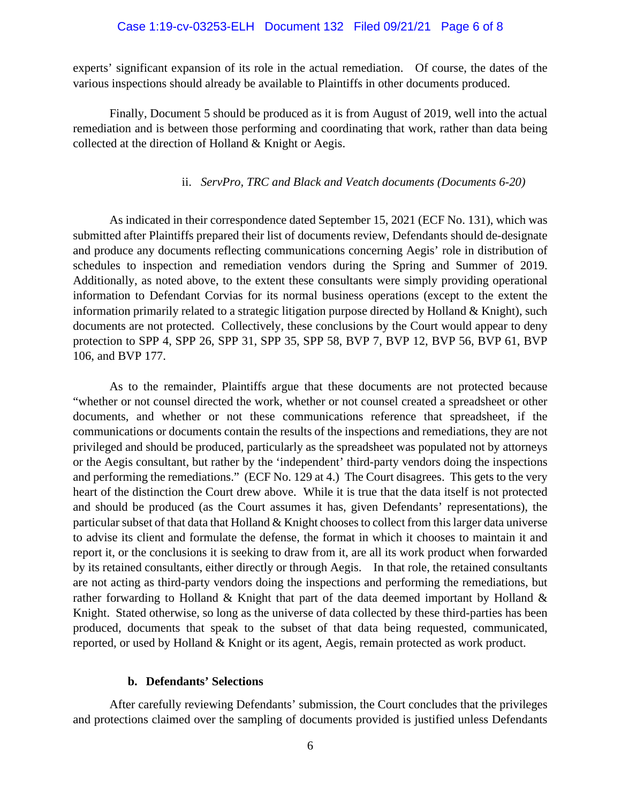### Case 1:19-cv-03253-ELH Document 132 Filed 09/21/21 Page 6 of 8

experts' significant expansion of its role in the actual remediation. Of course, the dates of the various inspections should already be available to Plaintiffs in other documents produced.

Finally, Document 5 should be produced as it is from August of 2019, well into the actual remediation and is between those performing and coordinating that work, rather than data being collected at the direction of Holland & Knight or Aegis.

### ii. *ServPro, TRC and Black and Veatch documents (Documents 6-20)*

As indicated in their correspondence dated September 15, 2021 (ECF No. 131), which was submitted after Plaintiffs prepared their list of documents review, Defendants should de-designate and produce any documents reflecting communications concerning Aegis' role in distribution of schedules to inspection and remediation vendors during the Spring and Summer of 2019. Additionally, as noted above, to the extent these consultants were simply providing operational information to Defendant Corvias for its normal business operations (except to the extent the information primarily related to a strategic litigation purpose directed by Holland & Knight), such documents are not protected. Collectively, these conclusions by the Court would appear to deny protection to SPP 4, SPP 26, SPP 31, SPP 35, SPP 58, BVP 7, BVP 12, BVP 56, BVP 61, BVP 106, and BVP 177.

As to the remainder, Plaintiffs argue that these documents are not protected because "whether or not counsel directed the work, whether or not counsel created a spreadsheet or other documents, and whether or not these communications reference that spreadsheet, if the communications or documents contain the results of the inspections and remediations, they are not privileged and should be produced, particularly as the spreadsheet was populated not by attorneys or the Aegis consultant, but rather by the 'independent' third-party vendors doing the inspections and performing the remediations." (ECF No. 129 at 4.) The Court disagrees. This gets to the very heart of the distinction the Court drew above. While it is true that the data itself is not protected and should be produced (as the Court assumes it has, given Defendants' representations), the particular subset of that data that Holland & Knight chooses to collect from this larger data universe to advise its client and formulate the defense, the format in which it chooses to maintain it and report it, or the conclusions it is seeking to draw from it, are all its work product when forwarded by its retained consultants, either directly or through Aegis. In that role, the retained consultants are not acting as third-party vendors doing the inspections and performing the remediations, but rather forwarding to Holland & Knight that part of the data deemed important by Holland & Knight. Stated otherwise, so long as the universe of data collected by these third-parties has been produced, documents that speak to the subset of that data being requested, communicated, reported, or used by Holland & Knight or its agent, Aegis, remain protected as work product.

### **b. Defendants' Selections**

After carefully reviewing Defendants' submission, the Court concludes that the privileges and protections claimed over the sampling of documents provided is justified unless Defendants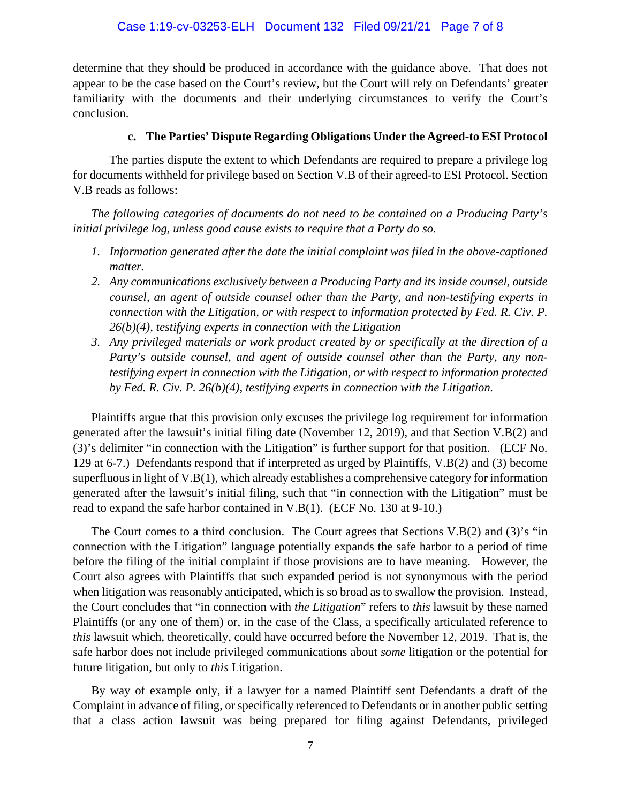determine that they should be produced in accordance with the guidance above. That does not appear to be the case based on the Court's review, but the Court will rely on Defendants' greater familiarity with the documents and their underlying circumstances to verify the Court's conclusion.

# **c. The Parties' Dispute Regarding Obligations Under the Agreed-to ESI Protocol**

The parties dispute the extent to which Defendants are required to prepare a privilege log for documents withheld for privilege based on Section V.B of their agreed-to ESI Protocol. Section V.B reads as follows:

*The following categories of documents do not need to be contained on a Producing Party's initial privilege log, unless good cause exists to require that a Party do so.*

- *1. Information generated after the date the initial complaint was filed in the above-captioned matter.*
- *2. Any communications exclusively between a Producing Party and its inside counsel, outside counsel, an agent of outside counsel other than the Party, and non-testifying experts in connection with the Litigation, or with respect to information protected by Fed. R. Civ. P. 26(b)(4), testifying experts in connection with the Litigation*
- *3. Any privileged materials or work product created by or specifically at the direction of a Party's outside counsel, and agent of outside counsel other than the Party, any nontestifying expert in connection with the Litigation, or with respect to information protected by Fed. R. Civ. P. 26(b)(4), testifying experts in connection with the Litigation.*

Plaintiffs argue that this provision only excuses the privilege log requirement for information generated after the lawsuit's initial filing date (November 12, 2019), and that Section V.B(2) and (3)'s delimiter "in connection with the Litigation" is further support for that position. (ECF No. 129 at 6-7.) Defendants respond that if interpreted as urged by Plaintiffs, V.B(2) and (3) become superfluous in light of V.B(1), which already establishes a comprehensive category for information generated after the lawsuit's initial filing, such that "in connection with the Litigation" must be read to expand the safe harbor contained in V.B(1). (ECF No. 130 at 9-10.)

The Court comes to a third conclusion. The Court agrees that Sections V.B(2) and (3)'s "in connection with the Litigation" language potentially expands the safe harbor to a period of time before the filing of the initial complaint if those provisions are to have meaning. However, the Court also agrees with Plaintiffs that such expanded period is not synonymous with the period when litigation was reasonably anticipated, which is so broad as to swallow the provision. Instead, the Court concludes that "in connection with *the Litigation*" refers to *this* lawsuit by these named Plaintiffs (or any one of them) or, in the case of the Class, a specifically articulated reference to *this* lawsuit which, theoretically, could have occurred before the November 12, 2019. That is, the safe harbor does not include privileged communications about *some* litigation or the potential for future litigation, but only to *this* Litigation.

By way of example only, if a lawyer for a named Plaintiff sent Defendants a draft of the Complaint in advance of filing, or specifically referenced to Defendants or in another public setting that a class action lawsuit was being prepared for filing against Defendants, privileged